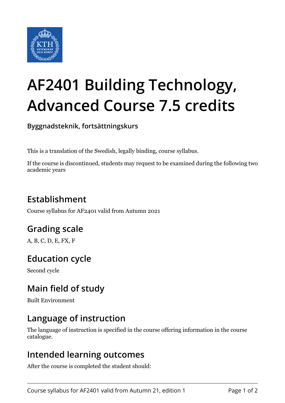

# **AF2401 Building Technology, Advanced Course 7.5 credits**

**Byggnadsteknik, fortsättningskurs**

This is a translation of the Swedish, legally binding, course syllabus.

If the course is discontinued, students may request to be examined during the following two academic years

# **Establishment**

Course syllabus for AF2401 valid from Autumn 2021

## **Grading scale**

A, B, C, D, E, FX, F

## **Education cycle**

Second cycle

## **Main field of study**

Built Environment

## **Language of instruction**

The language of instruction is specified in the course offering information in the course catalogue.

#### **Intended learning outcomes**

After the course is completed the student should: